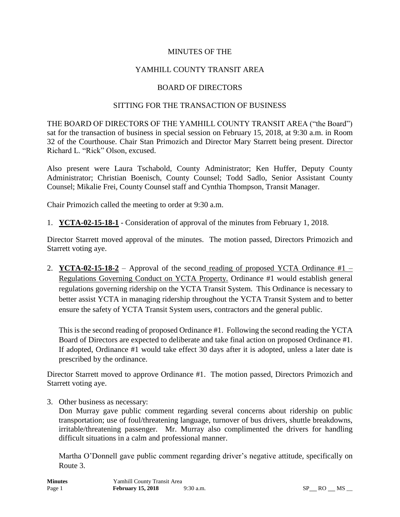### MINUTES OF THE

## YAMHILL COUNTY TRANSIT AREA

#### BOARD OF DIRECTORS

#### SITTING FOR THE TRANSACTION OF BUSINESS

THE BOARD OF DIRECTORS OF THE YAMHILL COUNTY TRANSIT AREA ("the Board") sat for the transaction of business in special session on February 15, 2018, at 9:30 a.m. in Room 32 of the Courthouse. Chair Stan Primozich and Director Mary Starrett being present. Director Richard L. "Rick" Olson, excused.

Also present were Laura Tschabold, County Administrator; Ken Huffer, Deputy County Administrator; Christian Boenisch, County Counsel; Todd Sadlo, Senior Assistant County Counsel; Mikalie Frei, County Counsel staff and Cynthia Thompson, Transit Manager.

Chair Primozich called the meeting to order at 9:30 a.m.

1. **YCTA-02-15-18-1** - Consideration of approval of the minutes from February 1, 2018.

Director Starrett moved approval of the minutes. The motion passed, Directors Primozich and Starrett voting aye.

2. **YCTA-02-15-18-2** – Approval of the second reading of proposed YCTA Ordinance  $#1$  – Regulations Governing Conduct on YCTA Property. Ordinance #1 would establish general regulations governing ridership on the YCTA Transit System. This Ordinance is necessary to better assist YCTA in managing ridership throughout the YCTA Transit System and to better ensure the safety of YCTA Transit System users, contractors and the general public.

This is the second reading of proposed Ordinance #1. Following the second reading the YCTA Board of Directors are expected to deliberate and take final action on proposed Ordinance #1. If adopted, Ordinance #1 would take effect 30 days after it is adopted, unless a later date is prescribed by the ordinance.

Director Starrett moved to approve Ordinance #1. The motion passed, Directors Primozich and Starrett voting aye.

3. Other business as necessary:

Don Murray gave public comment regarding several concerns about ridership on public transportation; use of foul/threatening language, turnover of bus drivers, shuttle breakdowns, irritable/threatening passenger. Mr. Murray also complimented the drivers for handling difficult situations in a calm and professional manner.

Martha O'Donnell gave public comment regarding driver's negative attitude, specifically on Route 3.